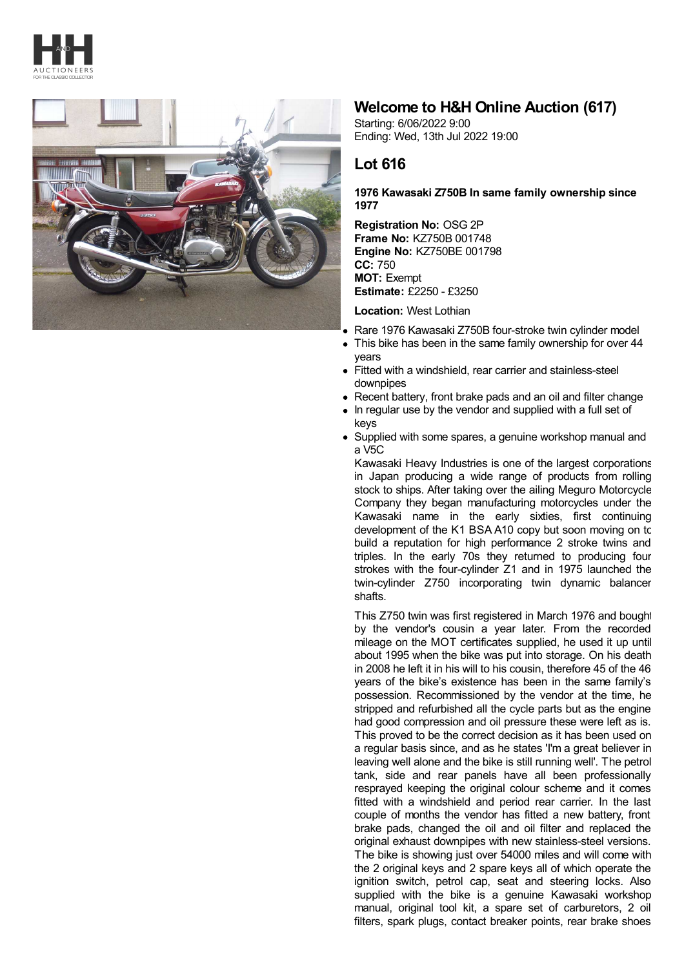



## **Welcome to H&H Online Auction (617)**

Starting: 6/06/2022 9:00 Ending: Wed, 13th Jul 2022 19:00

## **Lot 616**

## **1976 Kawasaki Z750B In same family ownership since 1977**

**Registration No:** OSG 2P **Frame No:** KZ750B 001748 **Engine No:** KZ750BE 001798 **CC:** 750 **MOT:** Exempt **Estimate:** £2250 - £3250

**Location:** West Lothian

- Rare 1976 Kawasaki Z750B four-stroke twin cylinder model
- $\bullet$ This bike has been in the same family ownership for over 44 years
- Fitted with a windshield, rear carrier and stainless-steel downpipes
- Recent battery, front brake pads and an oil and filter change
- In regular use by the vendor and supplied with a full set of keys
- Supplied with some spares, a genuine workshop manual and a V5C

Kawasaki Heavy Industries is one of the largest corporations in Japan producing a wide range of products from rolling stock to ships. After taking over the ailing Meguro Motorcycle Company they began manufacturing motorcycles under the Kawasaki name in the early sixties, first continuing development of the K1 BSA A10 copy but soon moving on to build a reputation for high performance 2 stroke twins and triples. In the early 70s they returned to producing four strokes with the four-cylinder Z1 and in 1975 launched the twin-cylinder Z750 incorporating twin dynamic balancer shafts.

This Z750 twin was first registered in March 1976 and bought by the vendor's cousin a year later. From the recorded mileage on the MOT certificates supplied, he used it up until about 1995 when the bike was put into storage. On his death in 2008 he left it in his will to his cousin, therefore 45 of the 46 years of the bike's existence has been in the same family's possession. Recommissioned by the vendor at the time, he stripped and refurbished all the cycle parts but as the engine had good compression and oil pressure these were left as is. This proved to be the correct decision as it has been used on a regular basis since, and as he states 'I'm a great believer in leaving well alone and the bike is still running well'. The petrol tank, side and rear panels have all been professionally resprayed keeping the original colour scheme and it comes fitted with a windshield and period rear carrier. In the last couple of months the vendor has fitted a new battery, front brake pads, changed the oil and oil filter and replaced the original exhaust downpipes with new stainless-steel versions. The bike is showing just over 54000 miles and will come with the 2 original keys and 2 spare keys all of which operate the ignition switch, petrol cap, seat and steering locks. Also supplied with the bike is a genuine Kawasaki workshop manual, original tool kit, a spare set of carburetors, 2 oil filters, spark plugs, contact breaker points, rear brake shoes